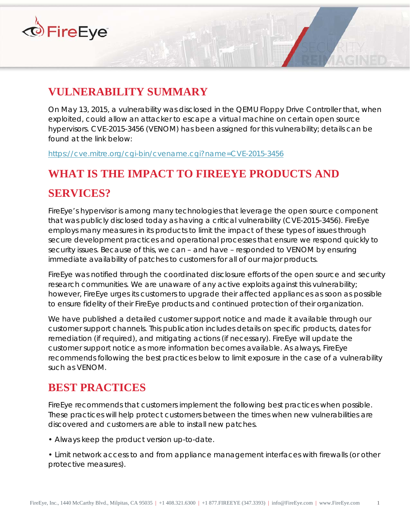

# **VULNERABILITY SUMMARY**

On May 13, 2015, a vulnerability was disclosed in the QEMU Floppy Drive Controller that, when exploited, could allow an attacker to escape a virtual machine on certain open source hypervisors. CVE-2015-3456 (VENOM) has been assigned for this vulnerability; details can be found at the link below:

https://cve.mitre.org/cgi-bin/cvename.cgi?name=CVE-2015-3456

# **WHAT IS THE IMPACT TO FIREEYE PRODUCTS AND**

### **SERVICES?**

FireEye's hypervisor is among many technologies that leverage the open source component that was publicly disclosed today as having a critical vulnerability (CVE-2015-3456). FireEye employs many measures in its products to limit the impact of these types of issues through secure development practices and operational processes that ensure we respond quickly to security issues. Because of this, we can – and have – responded to VENOM by ensuring immediate availability of patches to customers for all of our major products.

FireEye was notified through the coordinated disclosure efforts of the open source and security research communities. We are unaware of any active exploits against this vulnerability; however, FireEye urges its customers to upgrade their affected appliances as soon as possible to ensure fidelity of their FireEye products and continued protection of their organization.

We have published a detailed customer support notice and made it available through our customer support channels. This publication includes details on specific products, dates for remediation (if required), and mitigating actions (if necessary). FireEye will update the customer support notice as more information becomes available. As always, FireEye recommends following the best practices below to limit exposure in the case of a vulnerability such as VENOM.

## **BEST PRACTICES**

FireEye recommends that customers implement the following best practices when possible. These practices will help protect customers between the times when new vulnerabilities are discovered and customers are able to install new patches.

- Always keep the product version up-to-date.
- Limit network access to and from appliance management interfaces with firewalls (or other protective measures).